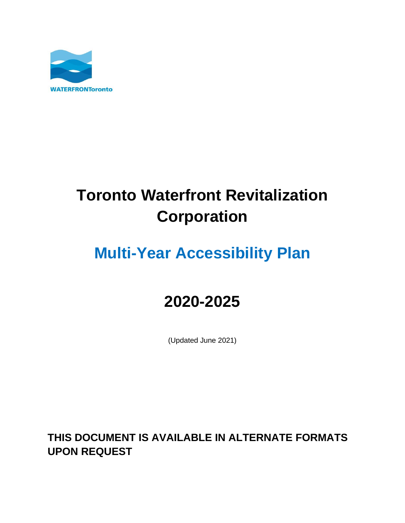

# **Toronto Waterfront Revitalization Corporation**

## **Multi-Year Accessibility Plan**

## **2020-2025**

(Updated June 2021)

**THIS DOCUMENT IS AVAILABLE IN ALTERNATE FORMATS UPON REQUEST**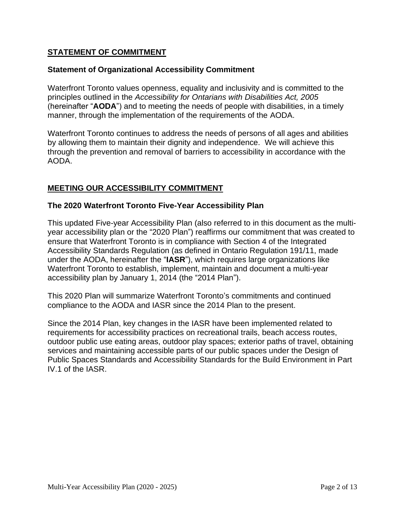## **STATEMENT OF COMMITMENT**

#### **Statement of Organizational Accessibility Commitment**

Waterfront Toronto values openness, equality and inclusivity and is committed to the principles outlined in the *Accessibility for Ontarians with Disabilities Act, 2005* (hereinafter "**AODA**") and to meeting the needs of people with disabilities, in a timely manner, through the implementation of the requirements of the AODA.

Waterfront Toronto continues to address the needs of persons of all ages and abilities by allowing them to maintain their dignity and independence. We will achieve this through the prevention and removal of barriers to accessibility in accordance with the AODA.

## **MEETING OUR ACCESSIBILITY COMMITMENT**

#### **The 2020 Waterfront Toronto Five-Year Accessibility Plan**

This updated Five-year Accessibility Plan (also referred to in this document as the multiyear accessibility plan or the "2020 Plan") reaffirms our commitment that was created to ensure that Waterfront Toronto is in compliance with Section 4 of the Integrated Accessibility Standards Regulation (as defined in Ontario Regulation 191/11, made under the AODA, hereinafter the "**IASR**"), which requires large organizations like Waterfront Toronto to establish, implement, maintain and document a multi-year accessibility plan by January 1, 2014 (the "2014 Plan").

This 2020 Plan will summarize Waterfront Toronto's commitments and continued compliance to the AODA and IASR since the 2014 Plan to the present.

Since the 2014 Plan, key changes in the IASR have been implemented related to requirements for accessibility practices on recreational trails, beach access routes, outdoor public use eating areas, outdoor play spaces; exterior paths of travel, obtaining services and maintaining accessible parts of our public spaces under the Design of Public Spaces Standards and Accessibility Standards for the Build Environment in Part IV.1 of the IASR.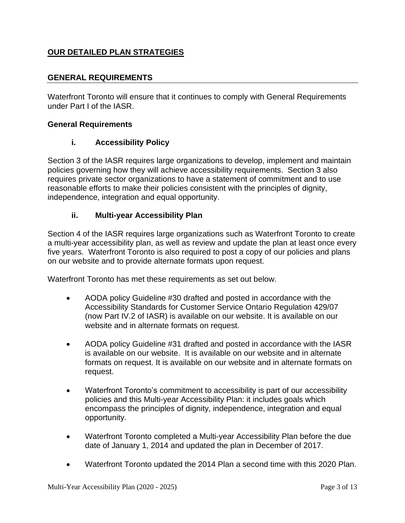## **OUR DETAILED PLAN STRATEGIES**

## **GENERAL REQUIREMENTS**

Waterfront Toronto will ensure that it continues to comply with General Requirements under Part I of the IASR.

#### **General Requirements**

#### **i. Accessibility Policy**

Section 3 of the IASR requires large organizations to develop, implement and maintain policies governing how they will achieve accessibility requirements. Section 3 also requires private sector organizations to have a statement of commitment and to use reasonable efforts to make their policies consistent with the principles of dignity, independence, integration and equal opportunity.

#### **ii. Multi-year Accessibility Plan**

Section 4 of the IASR requires large organizations such as Waterfront Toronto to create a multi-year accessibility plan, as well as review and update the plan at least once every five years. Waterfront Toronto is also required to post a copy of our policies and plans on our website and to provide alternate formats upon request.

Waterfront Toronto has met these requirements as set out below.

- AODA policy Guideline #30 drafted and posted in accordance with the Accessibility Standards for Customer Service Ontario Regulation 429/07 (now Part IV.2 of IASR) is available on our website. It is available on our website and in alternate formats on request.
- AODA policy Guideline #31 drafted and posted in accordance with the IASR is available on our website. It is available on our website and in alternate formats on request. It is available on our website and in alternate formats on request.
- Waterfront Toronto's commitment to accessibility is part of our accessibility policies and this Multi-year Accessibility Plan: it includes goals which encompass the principles of dignity, independence, integration and equal opportunity.
- Waterfront Toronto completed a Multi-year Accessibility Plan before the due date of January 1, 2014 and updated the plan in December of 2017.
- Waterfront Toronto updated the 2014 Plan a second time with this 2020 Plan.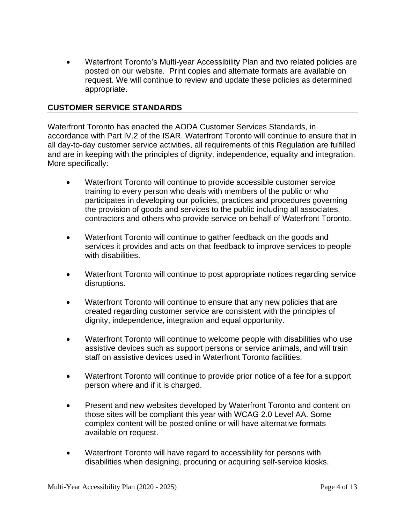• Waterfront Toronto's Multi-year Accessibility Plan and two related policies are posted on our website. Print copies and alternate formats are available on request. We will continue to review and update these policies as determined appropriate.

## **CUSTOMER SERVICE STANDARDS**

Waterfront Toronto has enacted the AODA Customer Services Standards, in accordance with Part IV.2 of the ISAR. Waterfront Toronto will continue to ensure that in all day-to-day customer service activities, all requirements of this Regulation are fulfilled and are in keeping with the principles of dignity, independence, equality and integration. More specifically:

- Waterfront Toronto will continue to provide accessible customer service training to every person who deals with members of the public or who participates in developing our policies, practices and procedures governing the provision of goods and services to the public including all associates, contractors and others who provide service on behalf of Waterfront Toronto.
- Waterfront Toronto will continue to gather feedback on the goods and services it provides and acts on that feedback to improve services to people with disabilities.
- Waterfront Toronto will continue to post appropriate notices regarding service disruptions.
- Waterfront Toronto will continue to ensure that any new policies that are created regarding customer service are consistent with the principles of dignity, independence, integration and equal opportunity.
- Waterfront Toronto will continue to welcome people with disabilities who use assistive devices such as support persons or service animals, and will train staff on assistive devices used in Waterfront Toronto facilities.
- Waterfront Toronto will continue to provide prior notice of a fee for a support person where and if it is charged.
- Present and new websites developed by Waterfront Toronto and content on those sites will be compliant this year with WCAG 2.0 Level AA. Some complex content will be posted online or will have alternative formats available on request.
- Waterfront Toronto will have regard to accessibility for persons with disabilities when designing, procuring or acquiring self-service kiosks.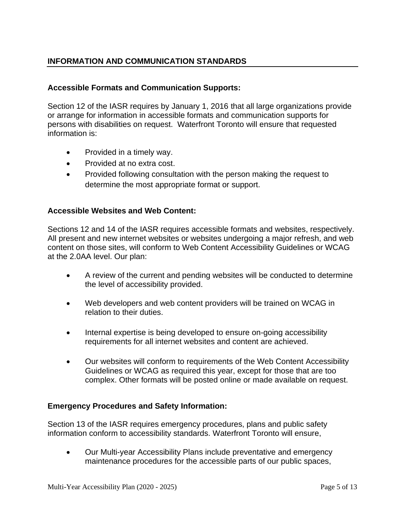## **INFORMATION AND COMMUNICATION STANDARDS**

#### **Accessible Formats and Communication Supports:**

Section 12 of the IASR requires by January 1, 2016 that all large organizations provide or arrange for information in accessible formats and communication supports for persons with disabilities on request. Waterfront Toronto will ensure that requested information is:

- Provided in a timely way.
- Provided at no extra cost.
- Provided following consultation with the person making the request to determine the most appropriate format or support.

#### **Accessible Websites and Web Content:**

Sections 12 and 14 of the IASR requires accessible formats and websites, respectively. All present and new internet websites or websites undergoing a major refresh, and web content on those sites, will conform to Web Content Accessibility Guidelines or WCAG at the 2.0AA level. Our plan:

- A review of the current and pending websites will be conducted to determine the level of accessibility provided.
- Web developers and web content providers will be trained on WCAG in relation to their duties.
- Internal expertise is being developed to ensure on-going accessibility requirements for all internet websites and content are achieved.
- Our websites will conform to requirements of the Web Content Accessibility Guidelines or WCAG as required this year, except for those that are too complex. Other formats will be posted online or made available on request.

#### **Emergency Procedures and Safety Information:**

Section 13 of the IASR requires emergency procedures, plans and public safety information conform to accessibility standards. Waterfront Toronto will ensure,

• Our Multi-year Accessibility Plans include preventative and emergency maintenance procedures for the accessible parts of our public spaces,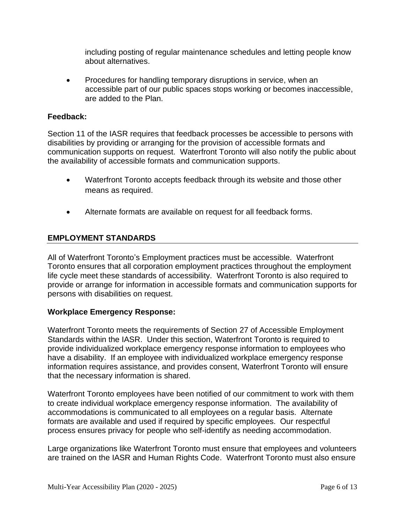including posting of regular maintenance schedules and letting people know about alternatives.

• Procedures for handling temporary disruptions in service, when an accessible part of our public spaces stops working or becomes inaccessible, are added to the Plan.

#### **Feedback:**

Section 11 of the IASR requires that feedback processes be accessible to persons with disabilities by providing or arranging for the provision of accessible formats and communication supports on request. Waterfront Toronto will also notify the public about the availability of accessible formats and communication supports.

- Waterfront Toronto accepts feedback through its website and those other means as required.
- Alternate formats are available on request for all feedback forms.

## **EMPLOYMENT STANDARDS**

All of Waterfront Toronto's Employment practices must be accessible. Waterfront Toronto ensures that all corporation employment practices throughout the employment life cycle meet these standards of accessibility. Waterfront Toronto is also required to provide or arrange for information in accessible formats and communication supports for persons with disabilities on request.

#### **Workplace Emergency Response:**

Waterfront Toronto meets the requirements of Section 27 of Accessible Employment Standards within the IASR. Under this section, Waterfront Toronto is required to provide individualized workplace emergency response information to employees who have a disability. If an employee with individualized workplace emergency response information requires assistance, and provides consent, Waterfront Toronto will ensure that the necessary information is shared.

Waterfront Toronto employees have been notified of our commitment to work with them to create individual workplace emergency response information. The availability of accommodations is communicated to all employees on a regular basis. Alternate formats are available and used if required by specific employees. Our respectful process ensures privacy for people who self-identify as needing accommodation.

Large organizations like Waterfront Toronto must ensure that employees and volunteers are trained on the IASR and Human Rights Code. Waterfront Toronto must also ensure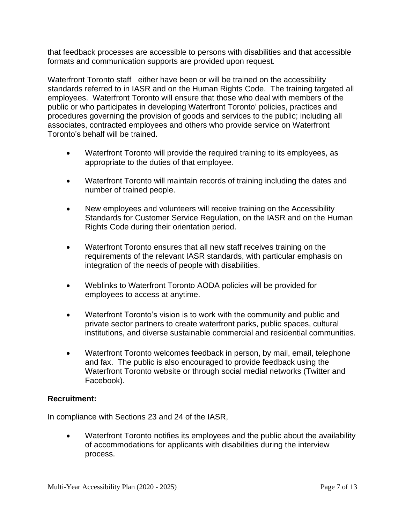that feedback processes are accessible to persons with disabilities and that accessible formats and communication supports are provided upon request.

Waterfront Toronto staff either have been or will be trained on the accessibility standards referred to in IASR and on the Human Rights Code. The training targeted all employees. Waterfront Toronto will ensure that those who deal with members of the public or who participates in developing Waterfront Toronto' policies, practices and procedures governing the provision of goods and services to the public; including all associates, contracted employees and others who provide service on Waterfront Toronto's behalf will be trained.

- Waterfront Toronto will provide the required training to its employees, as appropriate to the duties of that employee.
- Waterfront Toronto will maintain records of training including the dates and number of trained people.
- New employees and volunteers will receive training on the Accessibility Standards for Customer Service Regulation, on the IASR and on the Human Rights Code during their orientation period.
- Waterfront Toronto ensures that all new staff receives training on the requirements of the relevant IASR standards, with particular emphasis on integration of the needs of people with disabilities.
- Weblinks to Waterfront Toronto AODA policies will be provided for employees to access at anytime.
- Waterfront Toronto's vision is to work with the community and public and private sector partners to create waterfront parks, public spaces, cultural institutions, and diverse sustainable commercial and residential communities.
- Waterfront Toronto welcomes feedback in person, by mail, email, telephone and fax. The public is also encouraged to provide feedback using the Waterfront Toronto website or through social medial networks (Twitter and Facebook).

## **Recruitment:**

In compliance with Sections 23 and 24 of the IASR,

• Waterfront Toronto notifies its employees and the public about the availability of accommodations for applicants with disabilities during the interview process.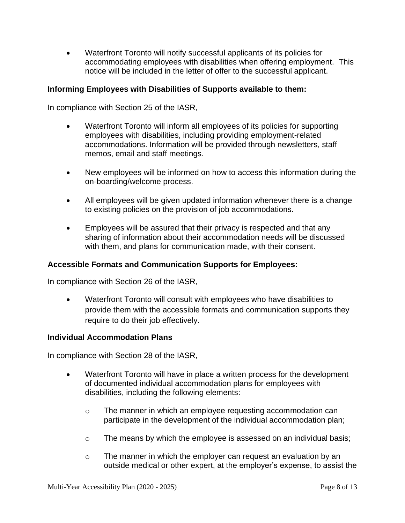• Waterfront Toronto will notify successful applicants of its policies for accommodating employees with disabilities when offering employment. This notice will be included in the letter of offer to the successful applicant.

## **Informing Employees with Disabilities of Supports available to them:**

In compliance with Section 25 of the IASR,

- Waterfront Toronto will inform all employees of its policies for supporting employees with disabilities, including providing employment-related accommodations. Information will be provided through newsletters, staff memos, email and staff meetings.
- New employees will be informed on how to access this information during the on-boarding/welcome process.
- All employees will be given updated information whenever there is a change to existing policies on the provision of job accommodations.
- Employees will be assured that their privacy is respected and that any sharing of information about their accommodation needs will be discussed with them, and plans for communication made, with their consent.

## **Accessible Formats and Communication Supports for Employees:**

In compliance with Section 26 of the IASR,

• Waterfront Toronto will consult with employees who have disabilities to provide them with the accessible formats and communication supports they require to do their job effectively.

## **Individual Accommodation Plans**

In compliance with Section 28 of the IASR,

- Waterfront Toronto will have in place a written process for the development of documented individual accommodation plans for employees with disabilities, including the following elements:
	- o The manner in which an employee requesting accommodation can participate in the development of the individual accommodation plan;
	- o The means by which the employee is assessed on an individual basis;
	- $\circ$  The manner in which the employer can request an evaluation by an outside medical or other expert, at the employer's expense, to assist the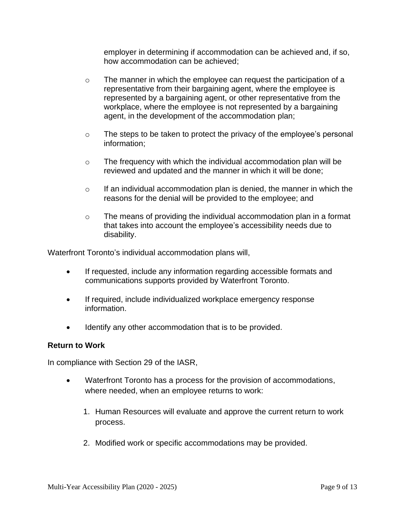employer in determining if accommodation can be achieved and, if so, how accommodation can be achieved;

- o The manner in which the employee can request the participation of a representative from their bargaining agent, where the employee is represented by a bargaining agent, or other representative from the workplace, where the employee is not represented by a bargaining agent, in the development of the accommodation plan;
- $\circ$  The steps to be taken to protect the privacy of the employee's personal information;
- $\circ$  The frequency with which the individual accommodation plan will be reviewed and updated and the manner in which it will be done;
- $\circ$  If an individual accommodation plan is denied, the manner in which the reasons for the denial will be provided to the employee; and
- o The means of providing the individual accommodation plan in a format that takes into account the employee's accessibility needs due to disability.

Waterfront Toronto's individual accommodation plans will,

- If requested, include any information regarding accessible formats and communications supports provided by Waterfront Toronto.
- If required, include individualized workplace emergency response information.
- Identify any other accommodation that is to be provided.

## **Return to Work**

In compliance with Section 29 of the IASR,

- Waterfront Toronto has a process for the provision of accommodations, where needed, when an employee returns to work:
	- 1. Human Resources will evaluate and approve the current return to work process.
	- 2. Modified work or specific accommodations may be provided.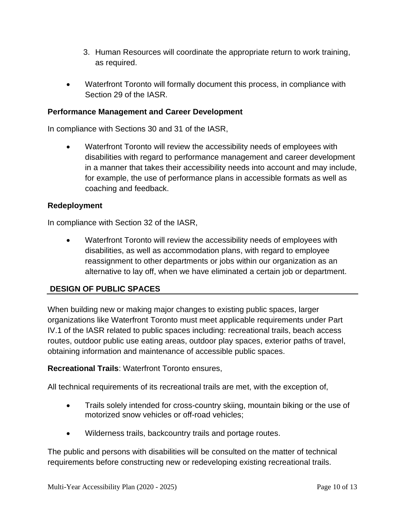- 3. Human Resources will coordinate the appropriate return to work training, as required.
- Waterfront Toronto will formally document this process, in compliance with Section 29 of the IASR.

## **Performance Management and Career Development**

In compliance with Sections 30 and 31 of the IASR,

• Waterfront Toronto will review the accessibility needs of employees with disabilities with regard to performance management and career development in a manner that takes their accessibility needs into account and may include, for example, the use of performance plans in accessible formats as well as coaching and feedback.

## **Redeployment**

In compliance with Section 32 of the IASR,

• Waterfront Toronto will review the accessibility needs of employees with disabilities, as well as accommodation plans, with regard to employee reassignment to other departments or jobs within our organization as an alternative to lay off, when we have eliminated a certain job or department.

## **DESIGN OF PUBLIC SPACES**

When building new or making major changes to existing public spaces, larger organizations like Waterfront Toronto must meet applicable requirements under Part IV.1 of the IASR related to public spaces including: recreational trails, beach access routes, outdoor public use eating areas, outdoor play spaces, exterior paths of travel, obtaining information and maintenance of accessible public spaces.

## **Recreational Trails**: Waterfront Toronto ensures,

All technical requirements of its recreational trails are met, with the exception of,

- Trails solely intended for cross-country skiing, mountain biking or the use of motorized snow vehicles or off-road vehicles;
- Wilderness trails, backcountry trails and portage routes.

The public and persons with disabilities will be consulted on the matter of technical requirements before constructing new or redeveloping existing recreational trails.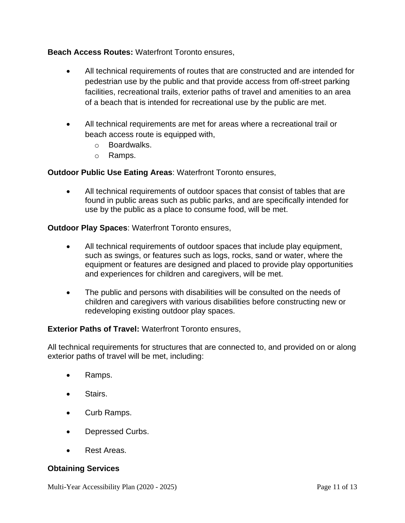## **Beach Access Routes:** Waterfront Toronto ensures,

- All technical requirements of routes that are constructed and are intended for pedestrian use by the public and that provide access from off-street parking facilities, recreational trails, exterior paths of travel and amenities to an area of a beach that is intended for recreational use by the public are met.
- All technical requirements are met for areas where a recreational trail or beach access route is equipped with,
	- o Boardwalks.
	- o Ramps.

## **Outdoor Public Use Eating Areas**: Waterfront Toronto ensures,

• All technical requirements of outdoor spaces that consist of tables that are found in public areas such as public parks, and are specifically intended for use by the public as a place to consume food, will be met.

**Outdoor Play Spaces**: Waterfront Toronto ensures,

- All technical requirements of outdoor spaces that include play equipment, such as swings, or features such as logs, rocks, sand or water, where the equipment or features are designed and placed to provide play opportunities and experiences for children and caregivers, will be met.
- The public and persons with disabilities will be consulted on the needs of children and caregivers with various disabilities before constructing new or redeveloping existing outdoor play spaces.

#### **Exterior Paths of Travel:** Waterfront Toronto ensures,

All technical requirements for structures that are connected to, and provided on or along exterior paths of travel will be met, including:

- Ramps.
- Stairs.
- Curb Ramps.
- Depressed Curbs.
- Rest Areas.

#### **Obtaining Services**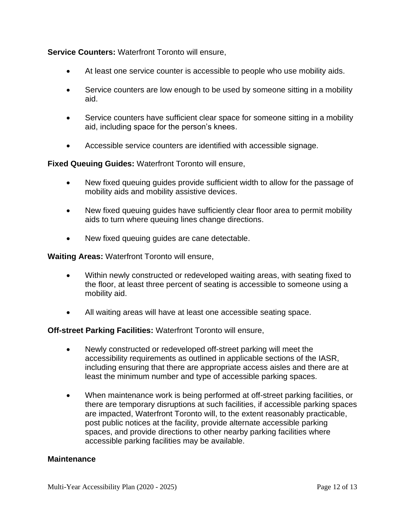**Service Counters:** Waterfront Toronto will ensure,

- At least one service counter is accessible to people who use mobility aids.
- Service counters are low enough to be used by someone sitting in a mobility aid.
- Service counters have sufficient clear space for someone sitting in a mobility aid, including space for the person's knees.
- Accessible service counters are identified with accessible signage.

**Fixed Queuing Guides:** Waterfront Toronto will ensure,

- New fixed queuing guides provide sufficient width to allow for the passage of mobility aids and mobility assistive devices.
- New fixed queuing guides have sufficiently clear floor area to permit mobility aids to turn where queuing lines change directions.
- New fixed queuing guides are cane detectable.

**Waiting Areas:** Waterfront Toronto will ensure,

- Within newly constructed or redeveloped waiting areas, with seating fixed to the floor, at least three percent of seating is accessible to someone using a mobility aid.
- All waiting areas will have at least one accessible seating space.

#### **Off-street Parking Facilities:** Waterfront Toronto will ensure,

- Newly constructed or redeveloped off-street parking will meet the accessibility requirements as outlined in applicable sections of the IASR, including ensuring that there are appropriate access aisles and there are at least the minimum number and type of accessible parking spaces.
- When maintenance work is being performed at off-street parking facilities, or there are temporary disruptions at such facilities, if accessible parking spaces are impacted, Waterfront Toronto will, to the extent reasonably practicable, post public notices at the facility, provide alternate accessible parking spaces, and provide directions to other nearby parking facilities where accessible parking facilities may be available.

#### **Maintenance**